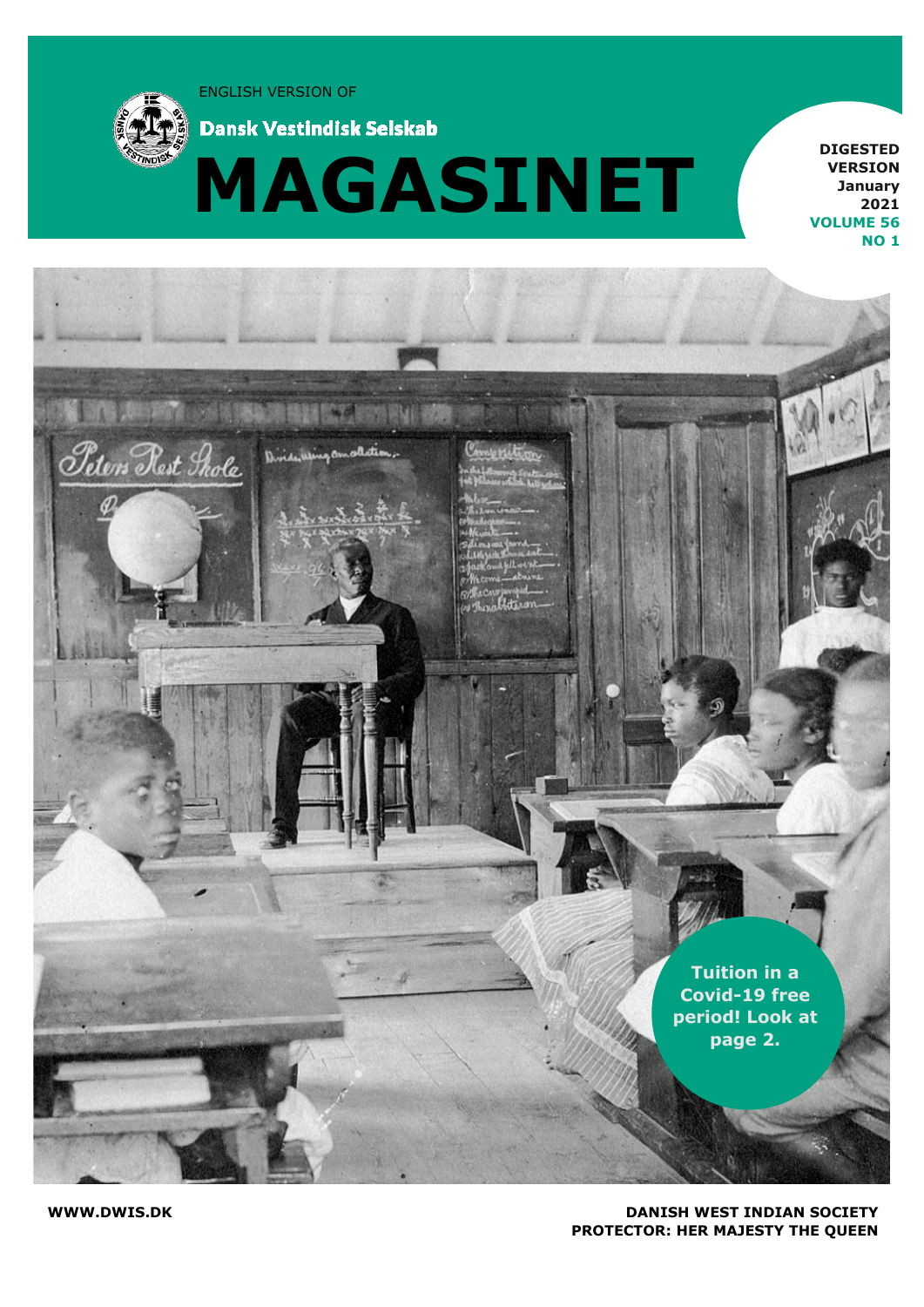ENGLISH VERSION OF



**Dansk Vestindisk Selskab** 



**DIGESTED VERSION January 2021 VOLUME 56 NO 1**



#### **WWW.DWIS.DK DANISH WEST INDIAN SOCIETY PROTECTOR: HER MAJESTY THE QUEEN**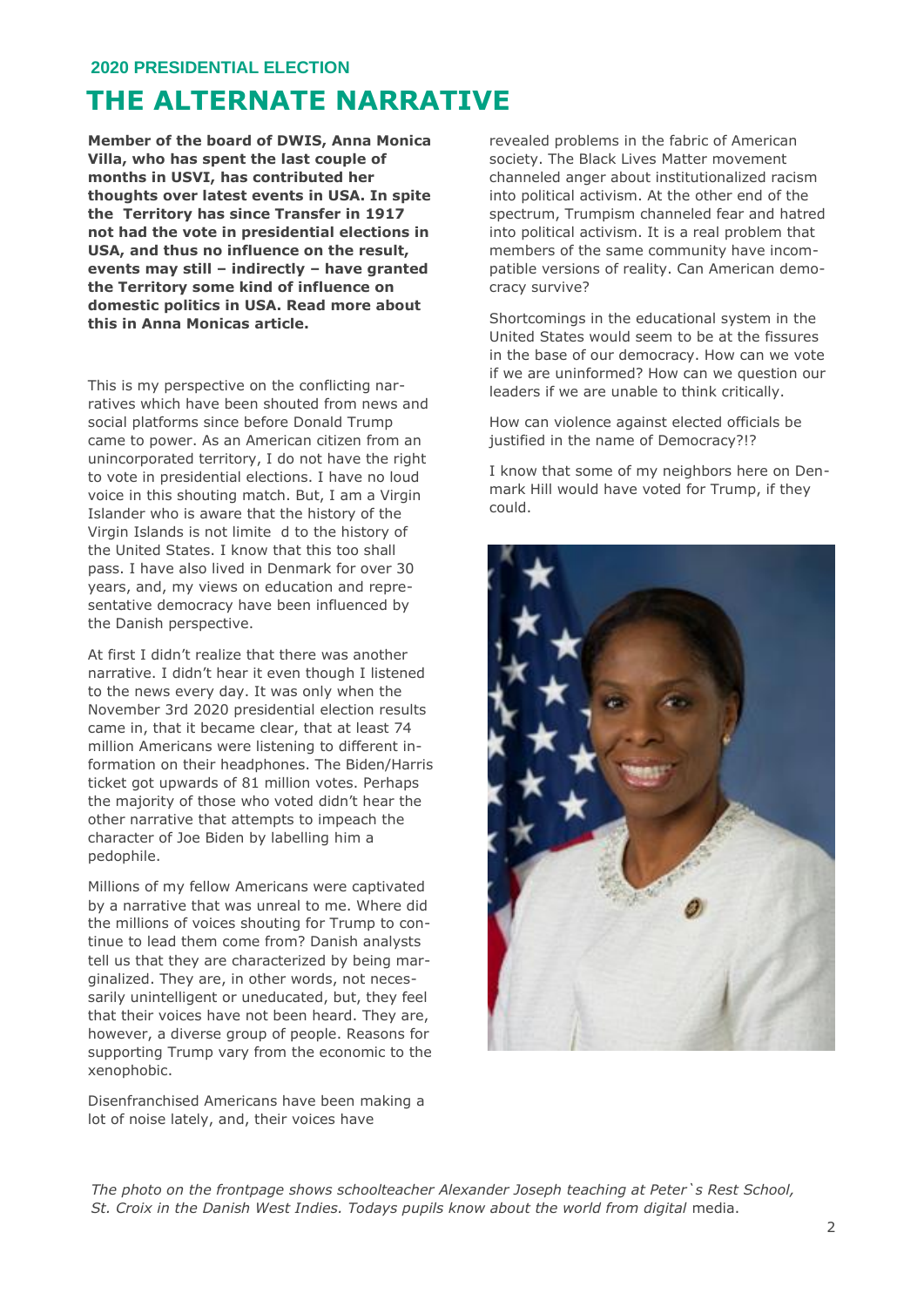#### **2020 PRESIDENTIAL ELECTION**

### **THE ALTERNATE NARRATIVE**

**Member of the board of DWIS, Anna Monica Villa, who has spent the last couple of months in USVI, has contributed her thoughts over latest events in USA. In spite the Territory has since Transfer in 1917 not had the vote in presidential elections in USA, and thus no influence on the result, events may still – indirectly – have granted the Territory some kind of influence on domestic politics in USA. Read more about this in Anna Monicas article.**

This is my perspective on the conflicting narratives which have been shouted from news and social platforms since before Donald Trump came to power. As an American citizen from an unincorporated territory, I do not have the right to vote in presidential elections. I have no loud voice in this shouting match. But, I am a Virgin Islander who is aware that the history of the Virgin Islands is not limite d to the history of the United States. I know that this too shall pass. I have also lived in Denmark for over 30 years, and, my views on education and representative democracy have been influenced by the Danish perspective.

At first I didn't realize that there was another narrative. I didn't hear it even though I listened to the news every day. It was only when the November 3rd 2020 presidential election results came in, that it became clear, that at least 74 million Americans were listening to different information on their headphones. The Biden/Harris ticket got upwards of 81 million votes. Perhaps the majority of those who voted didn't hear the other narrative that attempts to impeach the character of Joe Biden by labelling him a pedophile.

Millions of my fellow Americans were captivated by a narrative that was unreal to me. Where did the millions of voices shouting for Trump to continue to lead them come from? Danish analysts tell us that they are characterized by being marginalized. They are, in other words, not necessarily unintelligent or uneducated, but, they feel that their voices have not been heard. They are, however, a diverse group of people. Reasons for supporting Trump vary from the economic to the xenophobic.

Disenfranchised Americans have been making a lot of noise lately, and, their voices have

revealed problems in the fabric of American society. The Black Lives Matter movement channeled anger about institutionalized racism into political activism. At the other end of the spectrum, Trumpism channeled fear and hatred into political activism. It is a real problem that members of the same community have incompatible versions of reality. Can American democracy survive?

Shortcomings in the educational system in the United States would seem to be at the fissures in the base of our democracy. How can we vote if we are uninformed? How can we question our leaders if we are unable to think critically.

How can violence against elected officials be justified in the name of Democracy?!?

I know that some of my neighbors here on Denmark Hill would have voted for Trump, if they could.



*The photo on the frontpage shows schoolteacher Alexander Joseph teaching at Peter`s Rest School, St. Croix in the Danish West Indies. Todays pupils know about the world from digital* media.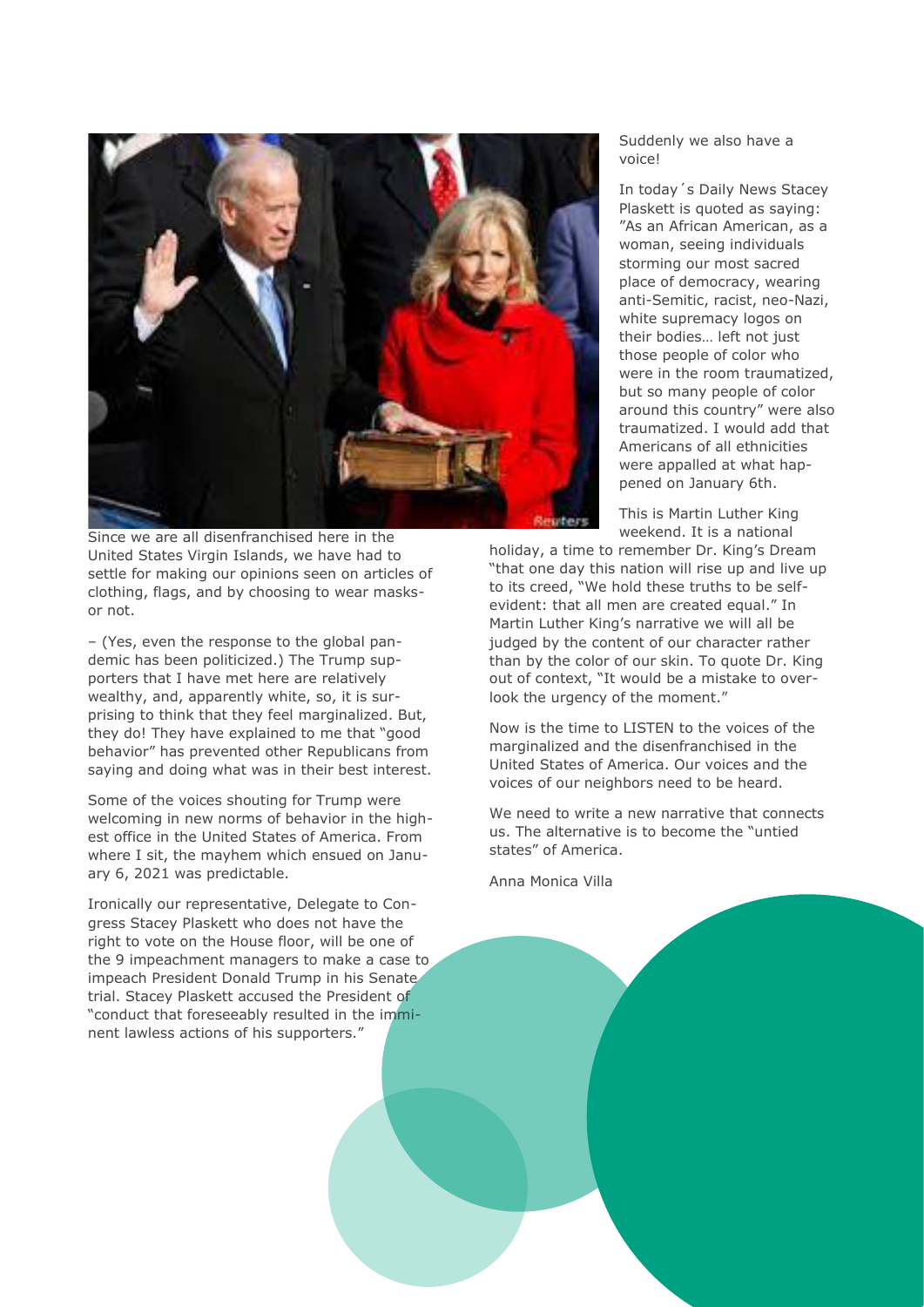

Since we are all disenfranchised here in the United States Virgin Islands, we have had to settle for making our opinions seen on articles of clothing, flags, and by choosing to wear masksor not.

– (Yes, even the response to the global pandemic has been politicized.) The Trump supporters that I have met here are relatively wealthy, and, apparently white, so, it is surprising to think that they feel marginalized. But, they do! They have explained to me that "good behavior" has prevented other Republicans from saying and doing what was in their best interest.

Some of the voices shouting for Trump were welcoming in new norms of behavior in the highest office in the United States of America. From where I sit, the mayhem which ensued on January 6, 2021 was predictable.

Ironically our representative, Delegate to Congress Stacey Plaskett who does not have the right to vote on the House floor, will be one of the 9 impeachment managers to make a case to impeach President Donald Trump in his Senate trial. Stacey Plaskett accused the President of "conduct that foreseeably resulted in the imminent lawless actions of his supporters."

#### Suddenly we also have a voice!

In today´s Daily News Stacey Plaskett is quoted as saying: "As an African American, as a woman, seeing individuals storming our most sacred place of democracy, wearing anti-Semitic, racist, neo-Nazi, white supremacy logos on their bodies... left not just those people of color who were in the room traumatized, but so many people of color around this country" were also traumatized. I would add that Americans of all ethnicities were appalled at what happened on January 6th.

This is Martin Luther King weekend. It is a national

holiday, a time to remember Dr. King's Dream "that one day this nation will rise up and live up to its creed, "We hold these truths to be selfevident: that all men are created equal." In Martin Luther King's narrative we will all be judged by the content of our character rather than by the color of our skin. To quote Dr. King out of context, "It would be a mistake to overlook the urgency of the moment."

Now is the time to LISTEN to the voices of the marginalized and the disenfranchised in the United States of America. Our voices and the voices of our neighbors need to be heard.

We need to write a new narrative that connects us. The alternative is to become the "untied states" of America.

Anna Monica Villa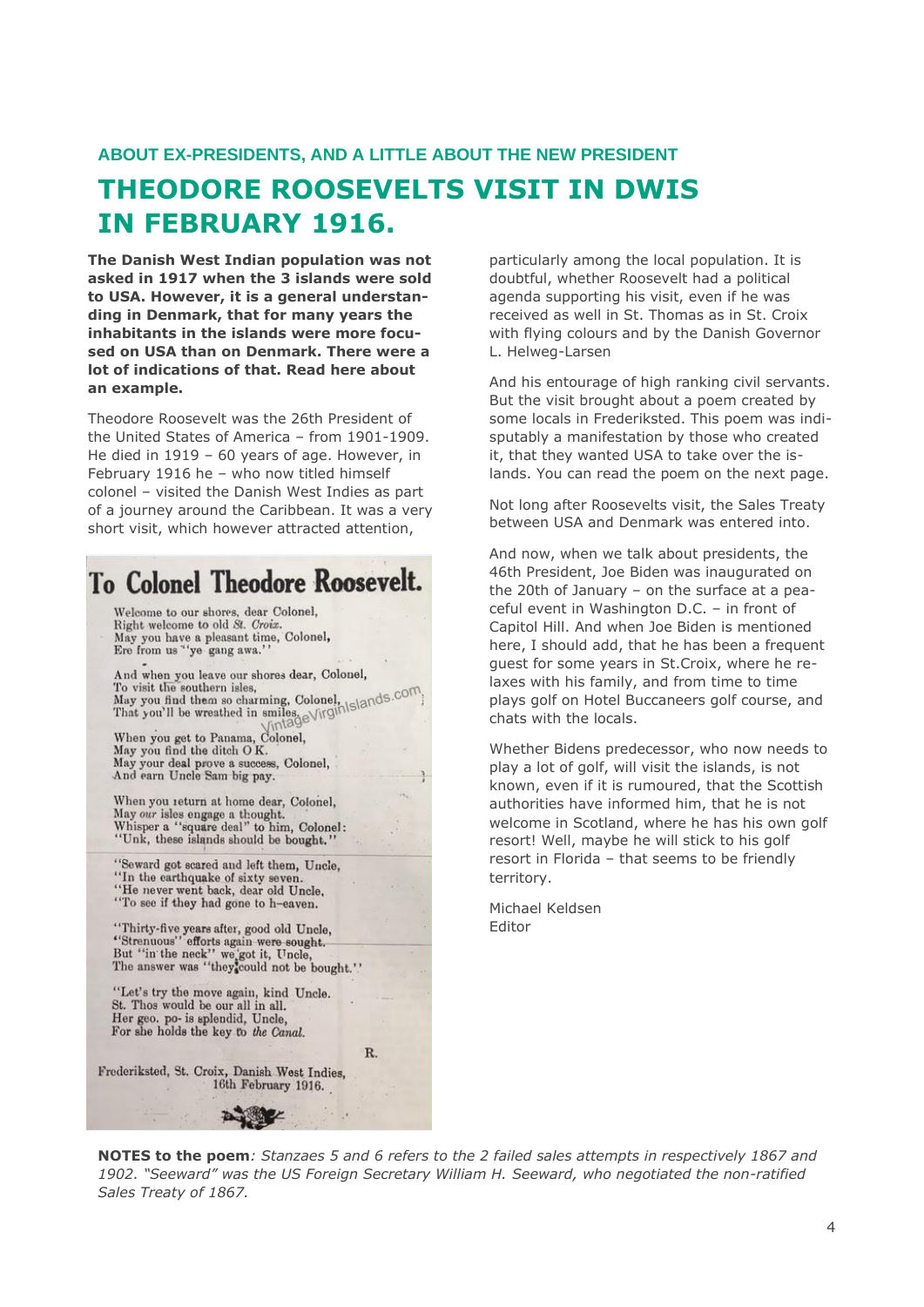#### **ABOUT EX-PRESIDENTS, AND A LITTLE ABOUT THE NEW PRESIDENT**

## **THEODORE ROOSEVELTS VISIT IN DWIS IN FEBRUARY 1916.**

**The Danish West Indian population was not asked in 1917 when the 3 islands were sold to USA. However, it is a general understanding in Denmark, that for many years the inhabitants in the islands were more focused on USA than on Denmark. There were a lot of indications of that. Read here about an example.**

Theodore Roosevelt was the 26th President of the United States of America – from 1901-1909. He died in 1919 – 60 years of age. However, in February 1916 he – who now titled himself colonel – visited the Danish West Indies as part of a journey around the Caribbean. It was a very short visit, which however attracted attention,

**To Colonel Theodore Roosevelt.** 

Welcome to our shores, dear Colonel, Right welcome to old St. Croix. May you have a pleasant time, Colonel,<br>Ere from us "'ye gang awa.''

And when you leave our shores dear, Colonel, And when you leave our shores dear, Colonel,<br>To visit the southern isles,<br>May you find them so charming, Colonel,<br>That you'll be wreathed in smiles<br> $\frac{\text{Niv}}{\text{Niv}}$ 

When you get to Panama, Colonel, May you find the ditch OK. May you mid the thich OR.<br>May your deal prove a success, Colonel,<br>And earn Uncle Sam big pay.

When you return at home dear, Colonel, May our isles engage a thought.<br>Whisper a "square deal" to him, Colonel:<br>"Unk, these islands should be bought."

'Seward got scared and left them, Uncle, "In the earthquake of sixty seven "He never went back, dear old Uncle,<br>"To see if they had gone to h-eaven.

"Thirty-five years after, good old Uncle,<br>"Strenuous" efforts again were sought. But "in the neck" we got it, Uncle,<br>The answer was "they could not be bought."

"Let's try the move again, kind Uncle. St. Thos would be our all in all. Her geo. po- is splendid, Uncle, For she holds the key to the Canal.

Frederiksted, St. Croix, Danish West Indies. 16th February 1916.

particularly among the local population. It is doubtful, whether Roosevelt had a political agenda supporting his visit, even if he was received as well in St. Thomas as in St. Croix with flying colours and by the Danish Governor L. Helweg-Larsen

And his entourage of high ranking civil servants. But the visit brought about a poem created by some locals in Frederiksted. This poem was indisputably a manifestation by those who created it, that they wanted USA to take over the islands. You can read the poem on the next page.

Not long after Roosevelts visit, the Sales Treaty between USA and Denmark was entered into.

And now, when we talk about presidents, the 46th President, Joe Biden was inaugurated on the 20th of January – on the surface at a peaceful event in Washington D.C. – in front of Capitol Hill. And when Joe Biden is mentioned here, I should add, that he has been a frequent guest for some years in St.Croix, where he relaxes with his family, and from time to time plays golf on Hotel Buccaneers golf course, and chats with the locals.

Whether Bidens predecessor, who now needs to play a lot of golf, will visit the islands, is not known, even if it is rumoured, that the Scottish authorities have informed him, that he is not welcome in Scotland, where he has his own golf resort! Well, maybe he will stick to his golf resort in Florida – that seems to be friendly territory.

Michael Keldsen Editor

**NOTES to the poem***: Stanzaes 5 and 6 refers to the 2 failed sales attempts in respectively 1867 and 1902. "Seeward" was the US Foreign Secretary William H. Seeward, who negotiated the non-ratified Sales Treaty of 1867.*

R.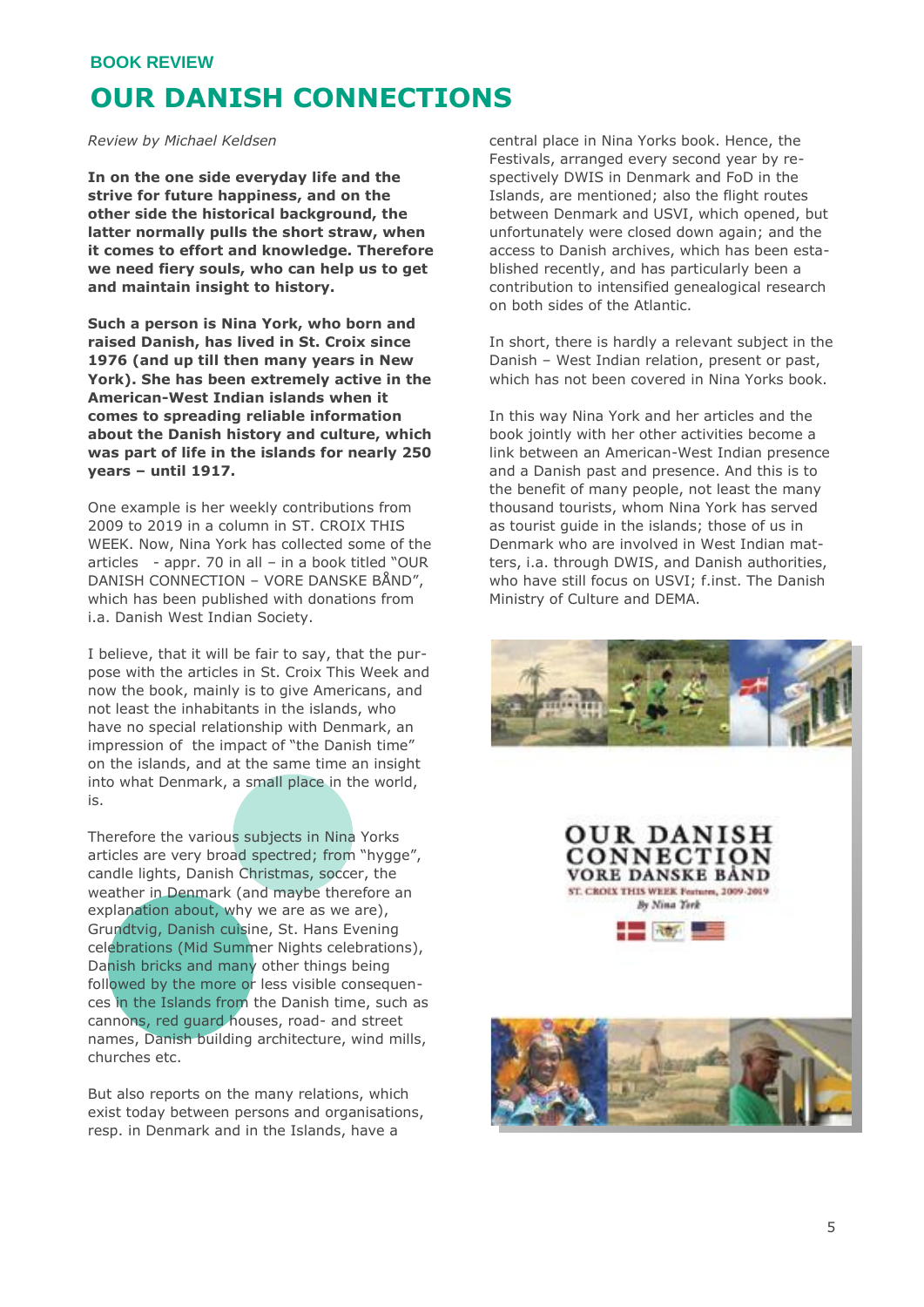#### **BOOK REVIEW**

### **OUR DANISH CONNECTIONS**

*Review by Michael Keldsen*

**In on the one side everyday life and the strive for future happiness, and on the other side the historical background, the latter normally pulls the short straw, when it comes to effort and knowledge. Therefore we need fiery souls, who can help us to get and maintain insight to history.** 

**Such a person is Nina York, who born and raised Danish, has lived in St. Croix since 1976 (and up till then many years in New York). She has been extremely active in the American-West Indian islands when it comes to spreading reliable information about the Danish history and culture, which was part of life in the islands for nearly 250 years – until 1917.**

One example is her weekly contributions from 2009 to 2019 in a column in ST. CROIX THIS WEEK. Now, Nina York has collected some of the articles - appr. 70 in all – in a book titled "OUR DANISH CONNECTION – VORE DANSKE BÅND", which has been published with donations from i.a. Danish West Indian Society.

I believe, that it will be fair to say, that the purpose with the articles in St. Croix This Week and now the book, mainly is to give Americans, and not least the inhabitants in the islands, who have no special relationship with Denmark, an impression of the impact of "the Danish time" on the islands, and at the same time an insight into what Denmark, a small place in the world, is.

Therefore the various subjects in Nina Yorks articles are very broad spectred; from "hygge", candle lights, Danish Christmas, soccer, the weather in Denmark (and maybe therefore an explanation about, why we are as we are). Grundtvig, Danish cuisine, St. Hans Evening celebrations (Mid Summer Nights celebrations), Danish bricks and many other things being followed by the more or less visible consequences in the Islands from the Danish time, such as cannons, red guard houses, road- and street names, Danish building architecture, wind mills, churches etc.

But also reports on the many relations, which exist today between persons and organisations, resp. in Denmark and in the Islands, have a

central place in Nina Yorks book. Hence, the Festivals, arranged every second year by respectively DWIS in Denmark and FoD in the Islands, are mentioned; also the flight routes between Denmark and USVI, which opened, but unfortunately were closed down again; and the access to Danish archives, which has been established recently, and has particularly been a contribution to intensified genealogical research on both sides of the Atlantic.

In short, there is hardly a relevant subject in the Danish – West Indian relation, present or past, which has not been covered in Nina Yorks book.

In this way Nina York and her articles and the book jointly with her other activities become a link between an American-West Indian presence and a Danish past and presence. And this is to the benefit of many people, not least the many thousand tourists, whom Nina York has served as tourist guide in the islands; those of us in Denmark who are involved in West Indian matters, i.a. through DWIS, and Danish authorities, who have still focus on USVI; f.inst. The Danish Ministry of Culture and DEMA.

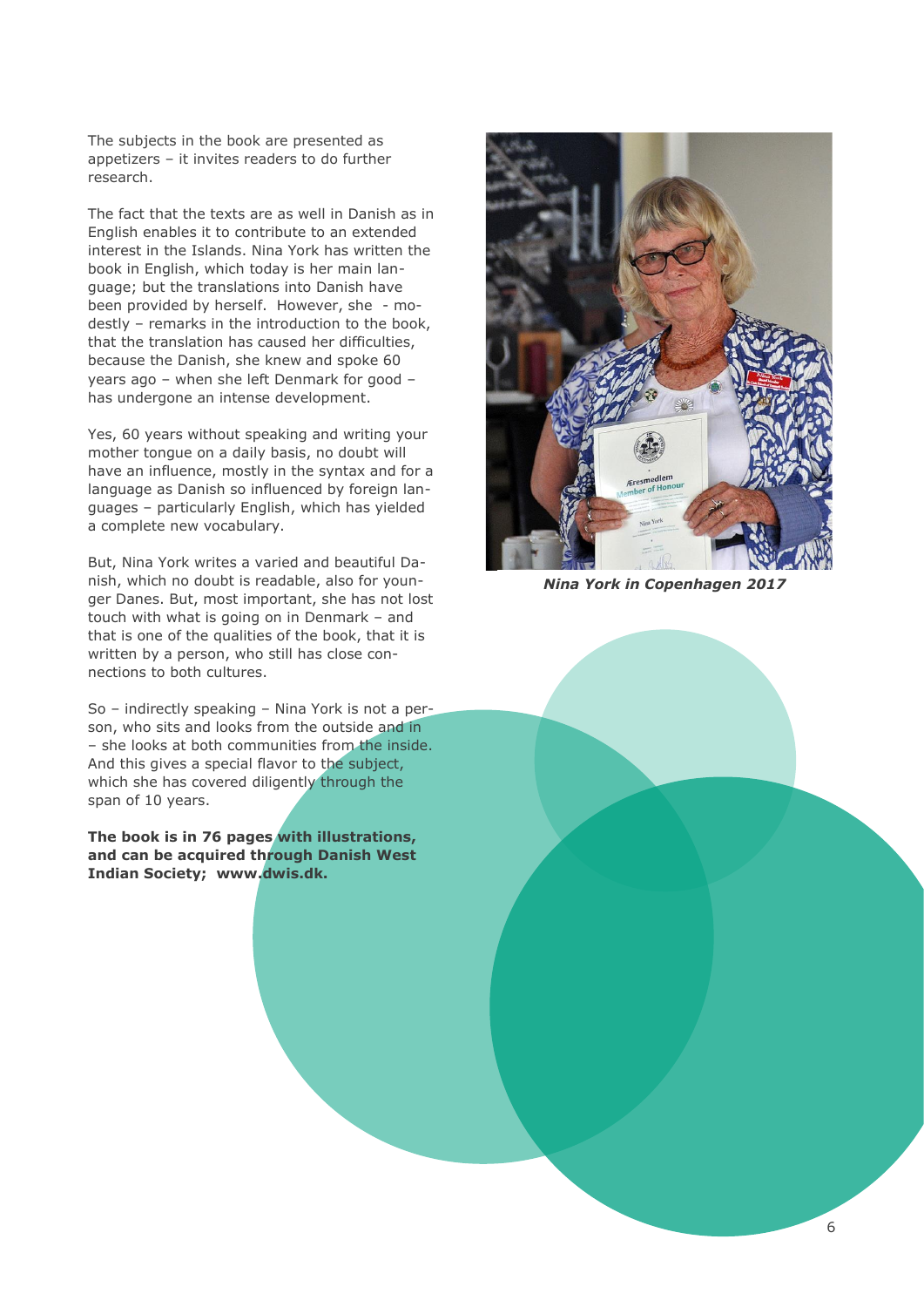The subjects in the book are presented as appetizers – it invites readers to do further research.

The fact that the texts are as well in Danish as in English enables it to contribute to an extended interest in the Islands. Nina York has written the book in English, which today is her main language; but the translations into Danish have been provided by herself. However, she - modestly – remarks in the introduction to the book, that the translation has caused her difficulties, because the Danish, she knew and spoke 60 years ago – when she left Denmark for good – has undergone an intense development.

Yes, 60 years without speaking and writing your mother tongue on a daily basis, no doubt will have an influence, mostly in the syntax and for a language as Danish so influenced by foreign languages – particularly English, which has yielded a complete new vocabulary.

But, Nina York writes a varied and beautiful Danish, which no doubt is readable, also for younger Danes. But, most important, she has not lost touch with what is going on in Denmark – and that is one of the qualities of the book, that it is written by a person, who still has close connections to both cultures.

So – indirectly speaking – Nina York is not a person, who sits and looks from the outside and in – she looks at both communities from the inside. And this gives a special flavor to the subject, which she has covered diligently through the span of 10 years.

**The book is in 76 pages with illustrations, and can be acquired through Danish West Indian Society; www.dwis.dk.**



*Nina York in Copenhagen 2017*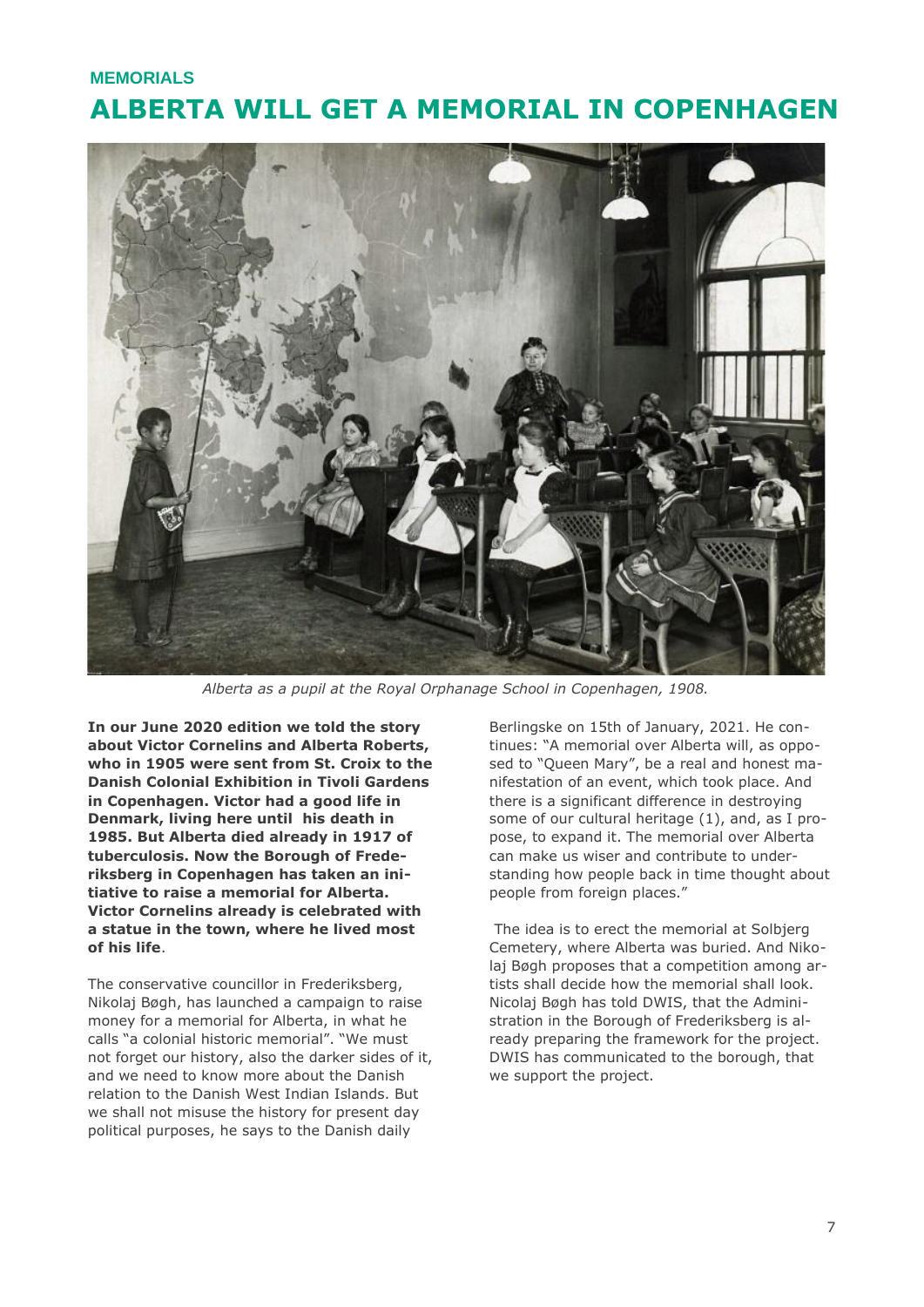### **ALBERTA WILL GET A MEMORIAL IN COPENHAGEN MEMORIALS**



*Alberta as a pupil at the Royal Orphanage School in Copenhagen, 1908.*

**In our June 2020 edition we told the story about Victor Cornelins and Alberta Roberts, who in 1905 were sent from St. Croix to the Danish Colonial Exhibition in Tivoli Gardens in Copenhagen. Victor had a good life in Denmark, living here until his death in 1985. But Alberta died already in 1917 of tuberculosis. Now the Borough of Frederiksberg in Copenhagen has taken an initiative to raise a memorial for Alberta. Victor Cornelins already is celebrated with a statue in the town, where he lived most of his life**.

The conservative councillor in Frederiksberg, Nikolaj Bøgh, has launched a campaign to raise money for a memorial for Alberta, in what he calls "a colonial historic memorial". "We must not forget our history, also the darker sides of it, and we need to know more about the Danish relation to the Danish West Indian Islands. But we shall not misuse the history for present day political purposes, he says to the Danish daily

Berlingske on 15th of January, 2021. He continues: "A memorial over Alberta will, as opposed to "Queen Mary", be a real and honest manifestation of an event, which took place. And there is a significant difference in destroying some of our cultural heritage (1), and, as I propose, to expand it. The memorial over Alberta can make us wiser and contribute to understanding how people back in time thought about people from foreign places."

The idea is to erect the memorial at Solbjerg Cemetery, where Alberta was buried. And Nikolaj Bøgh proposes that a competition among artists shall decide how the memorial shall look. Nicolaj Bøgh has told DWIS, that the Administration in the Borough of Frederiksberg is already preparing the framework for the project. DWIS has communicated to the borough, that we support the project.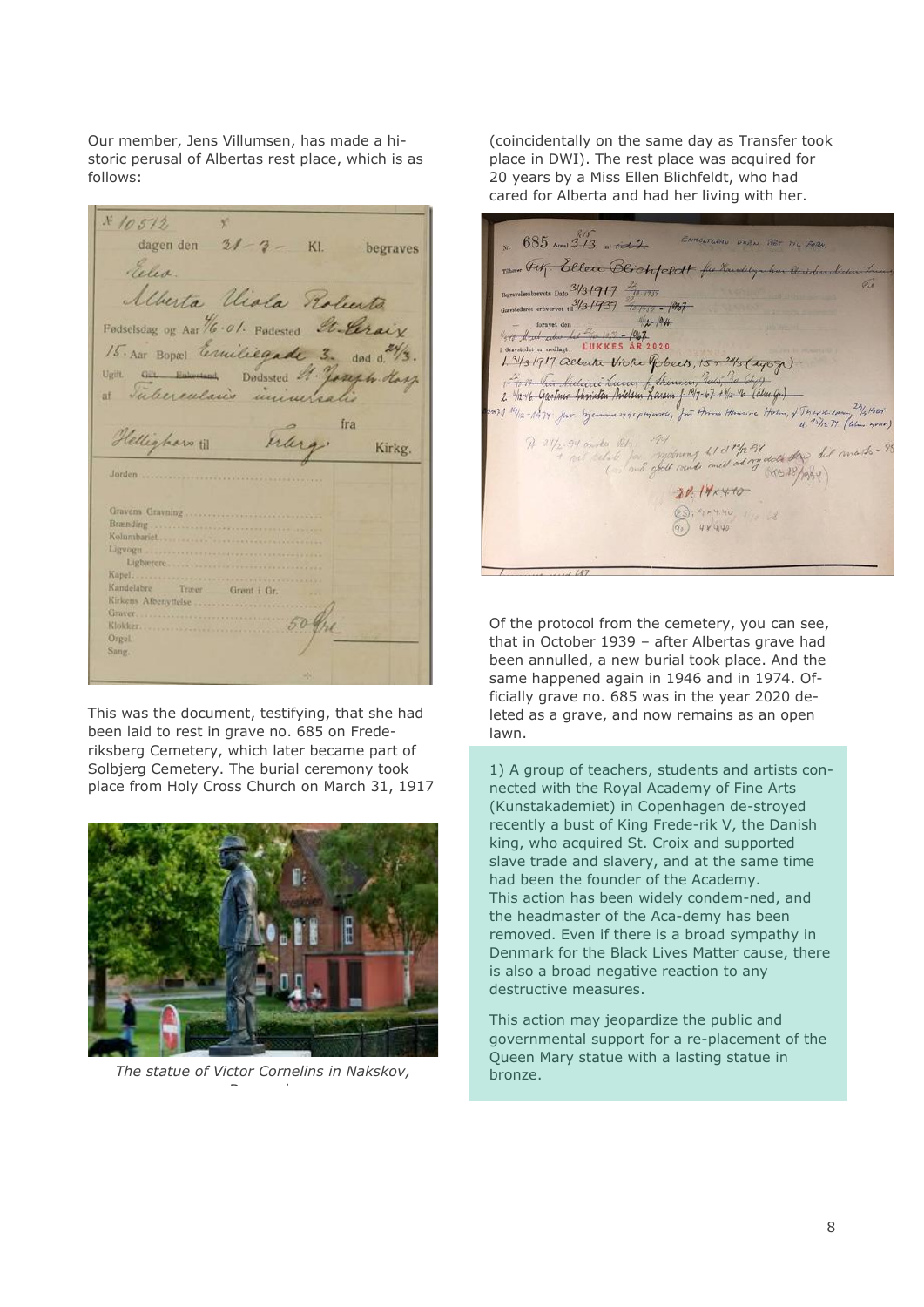Our member, Jens Villumsen, has made a historic perusal of Albertas rest place, which is as follows:

 $x 10512$ dagen den  $31 - 3 - K$ l. begraves Eiles. Merta Viola Roberto Fødselsdag og Aar 16.01. Fødested Stellrain 15. Aar Bopse Ermiliegade 3. dod d. 24/3. von au Edmund Dodssted M. Joseph Harp fra Hellighars til erleg Kirkg. Jorden accessive and the months Brænding Kolumbariet Ligvogn ... Ligbarere. Kanel. Træer – Grent i Gr.<br>benyttelse Kandelabre Kirkens Afbenyttelse Graver.......... Klokker Orgel. Sang

This was the document, testifying, that she had been laid to rest in grave no. 685 on Frederiksberg Cemetery, which later became part of Solbjerg Cemetery. The burial ceremony took place from Holy Cross Church on March 31, 1917



*The statue of Victor Cornelins in Nakskov,* bronze. *Denmark.*

(coincidentally on the same day as Transfer took place in DWI). The rest place was acquired for 20 years by a Miss Ellen Blichfeldt, who had cared for Alberta and had her living with her.

 $685$  Areal  $313$  at  $72$ ENROLTEDIN DOOR RET TIL FOR 1300 Fit Ellen Blichfeldt for Handlyarken as revets Date  $\frac{3431917}{2007}$ ret erbvervet til 1/3 / 937 - 1007 - 1007 formyet den<br>  $\frac{4}{2}$ , 1949<br>
1947 - Ludward (1959 - 1957 - 1957 - 1958 - 1968 - 1968 - 1968 - 1979 - 1988 - 1989 - 1989 - 1989 - 1989 - 1989 - 1989 - 1989 - 1989 - 1989 - 1989 - 1989 - 1989 - 1989 - 1989 - 1989 - 1989 -  $42 - 1946$ 1.3/13/917 alberta Viola Pobects, 15 + 24/3 (agoz) A 24/2-94 onder Other 194 motoring to 1 of 12-94 doct the bit mark-20.14x4.40  $\bigcirc$  9, 9, 4.40  $(90)$  4 × 440

Of the protocol from the cemetery, you can see, that in October 1939 – after Albertas grave had been annulled, a new burial took place. And the same happened again in 1946 and in 1974. Officially grave no. 685 was in the year 2020 deleted as a grave, and now remains as an open lawn.

1) A group of teachers, students and artists connected with the Royal Academy of Fine Arts (Kunstakademiet) in Copenhagen de-stroyed recently a bust of King Frede-rik V, the Danish king, who acquired St. Croix and supported slave trade and slavery, and at the same time had been the founder of the Academy. This action has been widely condem-ned, and the headmaster of the Aca-demy has been removed. Even if there is a broad sympathy in Denmark for the Black Lives Matter cause, there is also a broad negative reaction to any destructive measures.

This action may jeopardize the public and governmental support for a re-placement of the Queen Mary statue with a lasting statue in